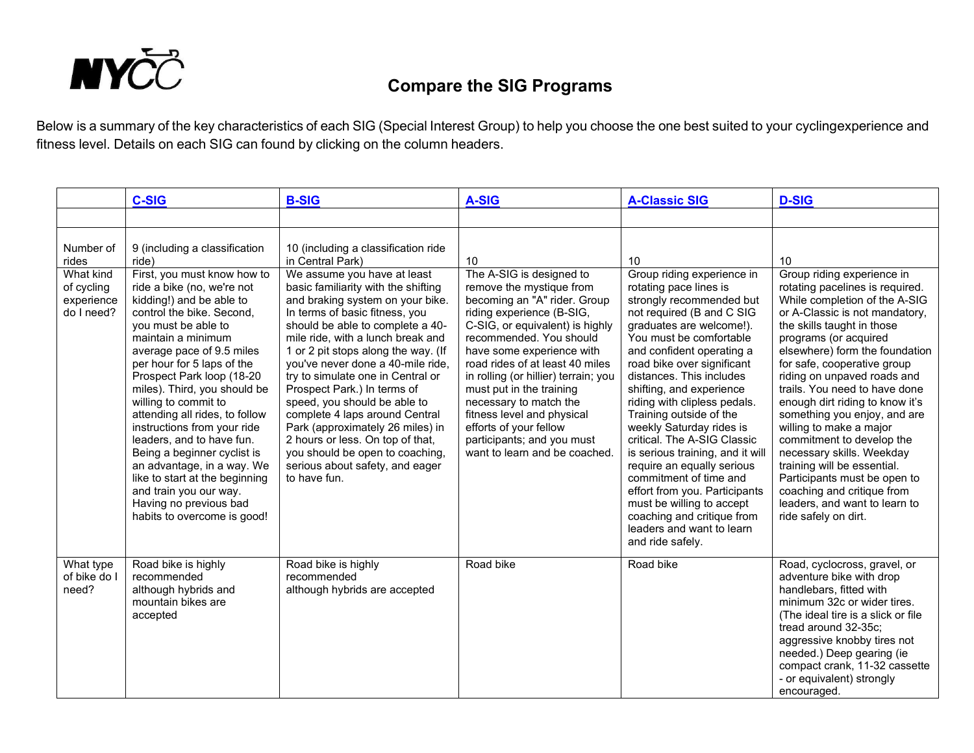

## **Compare the SIG Programs**

Below is a summary of the key characteristics of each SIG (Special Interest Group) to help you choose the one best suited to your cyclingexperience and fitness level. Details on each SIG can found by clicking on the column headers.

|                                                     | <b>C-SIG</b>                                                                                                                                                                                                                                                                                                                                                                                                                                                                                                                                                                                    | <b>B-SIG</b>                                                                                                                                                                                                                                                                                                                                                                                                                                                                                                                                                                                      | A-SIG                                                                                                                                                                                                                                                                                                                                                                                                                                                                | <b>A-Classic SIG</b>                                                                                                                                                                                                                                                                                                                                                                                                                                                                                                                                                                                                                                   | <b>D-SIG</b>                                                                                                                                                                                                                                                                                                                                                                                                                                                                                                                                                                                                                           |
|-----------------------------------------------------|-------------------------------------------------------------------------------------------------------------------------------------------------------------------------------------------------------------------------------------------------------------------------------------------------------------------------------------------------------------------------------------------------------------------------------------------------------------------------------------------------------------------------------------------------------------------------------------------------|---------------------------------------------------------------------------------------------------------------------------------------------------------------------------------------------------------------------------------------------------------------------------------------------------------------------------------------------------------------------------------------------------------------------------------------------------------------------------------------------------------------------------------------------------------------------------------------------------|----------------------------------------------------------------------------------------------------------------------------------------------------------------------------------------------------------------------------------------------------------------------------------------------------------------------------------------------------------------------------------------------------------------------------------------------------------------------|--------------------------------------------------------------------------------------------------------------------------------------------------------------------------------------------------------------------------------------------------------------------------------------------------------------------------------------------------------------------------------------------------------------------------------------------------------------------------------------------------------------------------------------------------------------------------------------------------------------------------------------------------------|----------------------------------------------------------------------------------------------------------------------------------------------------------------------------------------------------------------------------------------------------------------------------------------------------------------------------------------------------------------------------------------------------------------------------------------------------------------------------------------------------------------------------------------------------------------------------------------------------------------------------------------|
|                                                     |                                                                                                                                                                                                                                                                                                                                                                                                                                                                                                                                                                                                 |                                                                                                                                                                                                                                                                                                                                                                                                                                                                                                                                                                                                   |                                                                                                                                                                                                                                                                                                                                                                                                                                                                      |                                                                                                                                                                                                                                                                                                                                                                                                                                                                                                                                                                                                                                                        |                                                                                                                                                                                                                                                                                                                                                                                                                                                                                                                                                                                                                                        |
| Number of<br>rides                                  | 9 (including a classification<br>ride)                                                                                                                                                                                                                                                                                                                                                                                                                                                                                                                                                          | 10 (including a classification ride<br>in Central Park)                                                                                                                                                                                                                                                                                                                                                                                                                                                                                                                                           | 10                                                                                                                                                                                                                                                                                                                                                                                                                                                                   | 10                                                                                                                                                                                                                                                                                                                                                                                                                                                                                                                                                                                                                                                     | 10                                                                                                                                                                                                                                                                                                                                                                                                                                                                                                                                                                                                                                     |
| What kind<br>of cycling<br>experience<br>do I need? | First, you must know how to<br>ride a bike (no, we're not<br>kidding!) and be able to<br>control the bike. Second,<br>you must be able to<br>maintain a minimum<br>average pace of 9.5 miles<br>per hour for 5 laps of the<br>Prospect Park loop (18-20<br>miles). Third, you should be<br>willing to commit to<br>attending all rides, to follow<br>instructions from your ride<br>leaders, and to have fun.<br>Being a beginner cyclist is<br>an advantage, in a way. We<br>like to start at the beginning<br>and train you our way.<br>Having no previous bad<br>habits to overcome is good! | We assume you have at least<br>basic familiarity with the shifting<br>and braking system on your bike.<br>In terms of basic fitness, you<br>should be able to complete a 40-<br>mile ride, with a lunch break and<br>1 or 2 pit stops along the way. (If<br>you've never done a 40-mile ride,<br>try to simulate one in Central or<br>Prospect Park.) In terms of<br>speed, you should be able to<br>complete 4 laps around Central<br>Park (approximately 26 miles) in<br>2 hours or less. On top of that,<br>you should be open to coaching,<br>serious about safety, and eager<br>to have fun. | The A-SIG is designed to<br>remove the mystique from<br>becoming an "A" rider. Group<br>riding experience (B-SIG,<br>C-SIG, or equivalent) is highly<br>recommended. You should<br>have some experience with<br>road rides of at least 40 miles<br>in rolling (or hillier) terrain; you<br>must put in the training<br>necessary to match the<br>fitness level and physical<br>efforts of your fellow<br>participants; and you must<br>want to learn and be coached. | Group riding experience in<br>rotating pace lines is<br>strongly recommended but<br>not required (B and C SIG<br>graduates are welcome!).<br>You must be comfortable<br>and confident operating a<br>road bike over significant<br>distances. This includes<br>shifting, and experience<br>riding with clipless pedals.<br>Training outside of the<br>weekly Saturday rides is<br>critical. The A-SIG Classic<br>is serious training, and it will<br>require an equally serious<br>commitment of time and<br>effort from you. Participants<br>must be willing to accept<br>coaching and critique from<br>leaders and want to learn<br>and ride safely. | Group riding experience in<br>rotating pacelines is required.<br>While completion of the A-SIG<br>or A-Classic is not mandatory,<br>the skills taught in those<br>programs (or acquired<br>elsewhere) form the foundation<br>for safe, cooperative group<br>riding on unpaved roads and<br>trails. You need to have done<br>enough dirt riding to know it's<br>something you enjoy, and are<br>willing to make a major<br>commitment to develop the<br>necessary skills. Weekday<br>training will be essential.<br>Participants must be open to<br>coaching and critique from<br>leaders, and want to learn to<br>ride safely on dirt. |
| What type<br>of bike do I<br>need?                  | Road bike is highly<br>recommended<br>although hybrids and<br>mountain bikes are<br>accepted                                                                                                                                                                                                                                                                                                                                                                                                                                                                                                    | Road bike is highly<br>recommended<br>although hybrids are accepted                                                                                                                                                                                                                                                                                                                                                                                                                                                                                                                               | Road bike                                                                                                                                                                                                                                                                                                                                                                                                                                                            | Road bike                                                                                                                                                                                                                                                                                                                                                                                                                                                                                                                                                                                                                                              | Road, cyclocross, gravel, or<br>adventure bike with drop<br>handlebars, fitted with<br>minimum 32c or wider tires.<br>(The ideal tire is a slick or file<br>tread around 32-35c;<br>aggressive knobby tires not<br>needed.) Deep gearing (ie<br>compact crank, 11-32 cassette<br>- or equivalent) strongly<br>encouraged.                                                                                                                                                                                                                                                                                                              |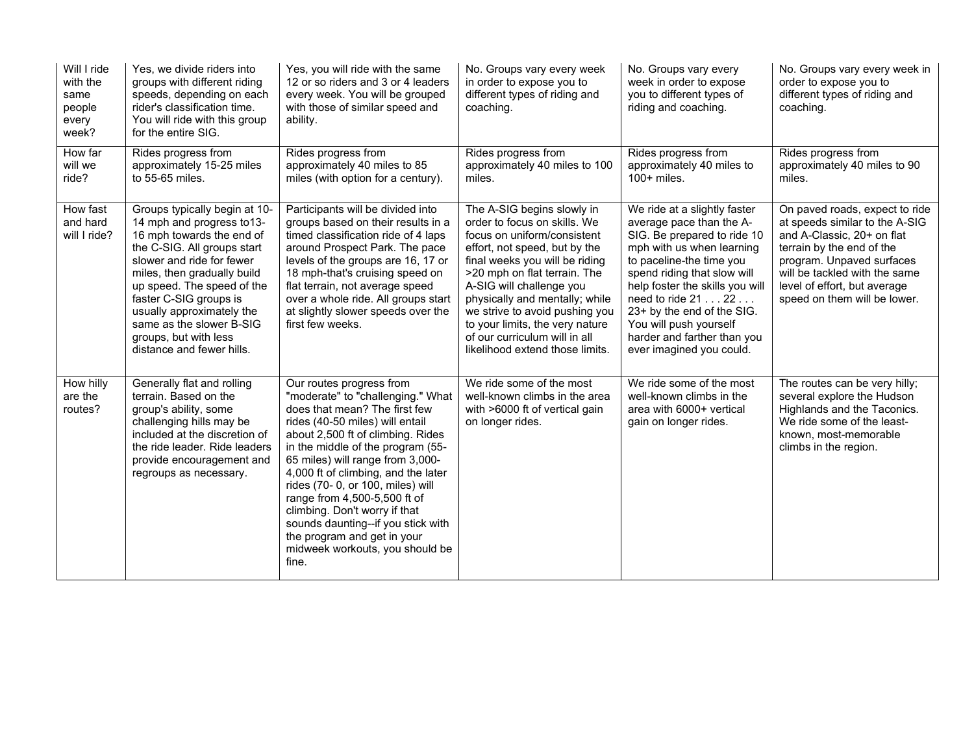| Will I ride<br>with the<br>same<br>people<br>every<br>week? | Yes, we divide riders into<br>groups with different riding<br>speeds, depending on each<br>rider's classification time.<br>You will ride with this group<br>for the entire SIG.                                                                                                                                                                            | Yes, you will ride with the same<br>12 or so riders and 3 or 4 leaders<br>every week. You will be grouped<br>with those of similar speed and<br>ability.                                                                                                                                                                                                                                                                                                                                                      | No. Groups vary every week<br>in order to expose you to<br>different types of riding and<br>coaching.                                                                                                                                                                                                                                                                                               | No. Groups vary every<br>week in order to expose<br>you to different types of<br>riding and coaching.                                                                                                                                                                                                                                                       | No. Groups vary every week in<br>order to expose you to<br>different types of riding and<br>coaching.                                                                                                                                                     |
|-------------------------------------------------------------|------------------------------------------------------------------------------------------------------------------------------------------------------------------------------------------------------------------------------------------------------------------------------------------------------------------------------------------------------------|---------------------------------------------------------------------------------------------------------------------------------------------------------------------------------------------------------------------------------------------------------------------------------------------------------------------------------------------------------------------------------------------------------------------------------------------------------------------------------------------------------------|-----------------------------------------------------------------------------------------------------------------------------------------------------------------------------------------------------------------------------------------------------------------------------------------------------------------------------------------------------------------------------------------------------|-------------------------------------------------------------------------------------------------------------------------------------------------------------------------------------------------------------------------------------------------------------------------------------------------------------------------------------------------------------|-----------------------------------------------------------------------------------------------------------------------------------------------------------------------------------------------------------------------------------------------------------|
| How far<br>will we<br>ride?                                 | Rides progress from<br>approximately 15-25 miles<br>to 55-65 miles.                                                                                                                                                                                                                                                                                        | Rides progress from<br>approximately 40 miles to 85<br>miles (with option for a century).                                                                                                                                                                                                                                                                                                                                                                                                                     | Rides progress from<br>approximately 40 miles to 100<br>miles.                                                                                                                                                                                                                                                                                                                                      | Rides progress from<br>approximately 40 miles to<br>$100+$ miles.                                                                                                                                                                                                                                                                                           | Rides progress from<br>approximately 40 miles to 90<br>miles.                                                                                                                                                                                             |
| How fast<br>and hard<br>will I ride?                        | Groups typically begin at 10-<br>14 mph and progress to 13-<br>16 mph towards the end of<br>the C-SIG. All groups start<br>slower and ride for fewer<br>miles, then gradually build<br>up speed. The speed of the<br>faster C-SIG groups is<br>usually approximately the<br>same as the slower B-SIG<br>groups, but with less<br>distance and fewer hills. | Participants will be divided into<br>groups based on their results in a<br>timed classification ride of 4 laps<br>around Prospect Park. The pace<br>levels of the groups are 16, 17 or<br>18 mph-that's cruising speed on<br>flat terrain, not average speed<br>over a whole ride. All groups start<br>at slightly slower speeds over the<br>first few weeks.                                                                                                                                                 | The A-SIG begins slowly in<br>order to focus on skills. We<br>focus on uniform/consistent<br>effort, not speed, but by the<br>final weeks you will be riding<br>>20 mph on flat terrain. The<br>A-SIG will challenge you<br>physically and mentally; while<br>we strive to avoid pushing you<br>to your limits, the very nature<br>of our curriculum will in all<br>likelihood extend those limits. | We ride at a slightly faster<br>average pace than the A-<br>SIG. Be prepared to ride 10<br>mph with us when learning<br>to paceline-the time you<br>spend riding that slow will<br>help foster the skills you will<br>need to ride 21 22<br>23+ by the end of the SIG.<br>You will push yourself<br>harder and farther than you<br>ever imagined you could. | On paved roads, expect to ride<br>at speeds similar to the A-SIG<br>and A-Classic, 20+ on flat<br>terrain by the end of the<br>program. Unpaved surfaces<br>will be tackled with the same<br>level of effort, but average<br>speed on them will be lower. |
| How hilly<br>are the<br>routes?                             | Generally flat and rolling<br>terrain. Based on the<br>group's ability, some<br>challenging hills may be<br>included at the discretion of<br>the ride leader. Ride leaders<br>provide encouragement and<br>regroups as necessary.                                                                                                                          | Our routes progress from<br>"moderate" to "challenging." What<br>does that mean? The first few<br>rides (40-50 miles) will entail<br>about 2,500 ft of climbing. Rides<br>in the middle of the program (55-<br>65 miles) will range from 3,000-<br>4,000 ft of climbing, and the later<br>rides (70- 0, or 100, miles) will<br>range from 4,500-5,500 ft of<br>climbing. Don't worry if that<br>sounds daunting--if you stick with<br>the program and get in your<br>midweek workouts, you should be<br>fine. | We ride some of the most<br>well-known climbs in the area<br>with >6000 ft of vertical gain<br>on longer rides.                                                                                                                                                                                                                                                                                     | We ride some of the most<br>well-known climbs in the<br>area with 6000+ vertical<br>gain on longer rides.                                                                                                                                                                                                                                                   | The routes can be very hilly;<br>several explore the Hudson<br>Highlands and the Taconics.<br>We ride some of the least-<br>known, most-memorable<br>climbs in the region.                                                                                |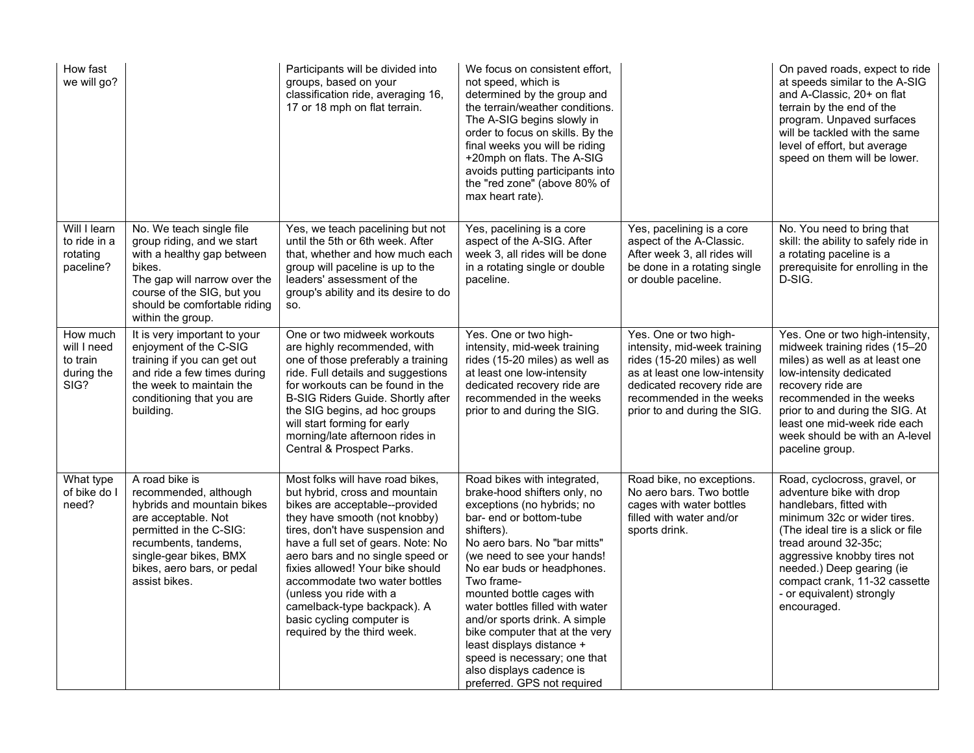| How fast<br>we will go?                                   |                                                                                                                                                                                                                          | Participants will be divided into<br>groups, based on your<br>classification ride, averaging 16,<br>17 or 18 mph on flat terrain.                                                                                                                                                                                                                                                                                                              | We focus on consistent effort,<br>not speed, which is<br>determined by the group and<br>the terrain/weather conditions.<br>The A-SIG begins slowly in<br>order to focus on skills. By the<br>final weeks you will be riding<br>+20mph on flats. The A-SIG<br>avoids putting participants into<br>the "red zone" (above 80% of<br>max heart rate).                                                                                                                                                        |                                                                                                                                                                                                                  | On paved roads, expect to ride<br>at speeds similar to the A-SIG<br>and A-Classic, 20+ on flat<br>terrain by the end of the<br>program. Unpaved surfaces<br>will be tackled with the same<br>level of effort, but average<br>speed on them will be lower.                                                                 |
|-----------------------------------------------------------|--------------------------------------------------------------------------------------------------------------------------------------------------------------------------------------------------------------------------|------------------------------------------------------------------------------------------------------------------------------------------------------------------------------------------------------------------------------------------------------------------------------------------------------------------------------------------------------------------------------------------------------------------------------------------------|----------------------------------------------------------------------------------------------------------------------------------------------------------------------------------------------------------------------------------------------------------------------------------------------------------------------------------------------------------------------------------------------------------------------------------------------------------------------------------------------------------|------------------------------------------------------------------------------------------------------------------------------------------------------------------------------------------------------------------|---------------------------------------------------------------------------------------------------------------------------------------------------------------------------------------------------------------------------------------------------------------------------------------------------------------------------|
| Will I learn<br>to ride in a<br>rotating<br>paceline?     | No. We teach single file<br>group riding, and we start<br>with a healthy gap between<br>bikes.<br>The gap will narrow over the<br>course of the SIG, but you<br>should be comfortable riding<br>within the group.        | Yes, we teach pacelining but not<br>until the 5th or 6th week. After<br>that, whether and how much each<br>group will paceline is up to the<br>leaders' assessment of the<br>group's ability and its desire to do<br>SO.                                                                                                                                                                                                                       | Yes, pacelining is a core<br>aspect of the A-SIG. After<br>week 3, all rides will be done<br>in a rotating single or double<br>paceline.                                                                                                                                                                                                                                                                                                                                                                 | Yes, pacelining is a core<br>aspect of the A-Classic.<br>After week 3, all rides will<br>be done in a rotating single<br>or double paceline.                                                                     | No. You need to bring that<br>skill: the ability to safely ride in<br>a rotating paceline is a<br>prerequisite for enrolling in the<br>D-SIG.                                                                                                                                                                             |
| How much<br>will I need<br>to train<br>during the<br>SIG? | It is very important to your<br>enjoyment of the C-SIG<br>training if you can get out<br>and ride a few times during<br>the week to maintain the<br>conditioning that you are<br>building.                               | One or two midweek workouts<br>are highly recommended, with<br>one of those preferably a training<br>ride. Full details and suggestions<br>for workouts can be found in the<br>B-SIG Riders Guide. Shortly after<br>the SIG begins, ad hoc groups<br>will start forming for early<br>morning/late afternoon rides in<br>Central & Prospect Parks.                                                                                              | Yes. One or two high-<br>intensity, mid-week training<br>rides (15-20 miles) as well as<br>at least one low-intensity<br>dedicated recovery ride are<br>recommended in the weeks<br>prior to and during the SIG.                                                                                                                                                                                                                                                                                         | Yes. One or two high-<br>intensity, mid-week training<br>rides (15-20 miles) as well<br>as at least one low-intensity<br>dedicated recovery ride are<br>recommended in the weeks<br>prior to and during the SIG. | Yes. One or two high-intensity,<br>midweek training rides (15-20<br>miles) as well as at least one<br>low-intensity dedicated<br>recovery ride are<br>recommended in the weeks<br>prior to and during the SIG. At<br>least one mid-week ride each<br>week should be with an A-level<br>paceline group.                    |
| What type<br>of bike do I<br>need?                        | A road bike is<br>recommended, although<br>hybrids and mountain bikes<br>are acceptable. Not<br>permitted in the C-SIG:<br>recumbents, tandems,<br>single-gear bikes, BMX<br>bikes, aero bars, or pedal<br>assist bikes. | Most folks will have road bikes,<br>but hybrid, cross and mountain<br>bikes are acceptable--provided<br>they have smooth (not knobby)<br>tires, don't have suspension and<br>have a full set of gears. Note: No<br>aero bars and no single speed or<br>fixies allowed! Your bike should<br>accommodate two water bottles<br>(unless you ride with a<br>camelback-type backpack). A<br>basic cycling computer is<br>required by the third week. | Road bikes with integrated,<br>brake-hood shifters only, no<br>exceptions (no hybrids; no<br>bar- end or bottom-tube<br>shifters).<br>No aero bars. No "bar mitts"<br>(we need to see your hands!<br>No ear buds or headphones.<br>Two frame-<br>mounted bottle cages with<br>water bottles filled with water<br>and/or sports drink. A simple<br>bike computer that at the very<br>least displays distance +<br>speed is necessary; one that<br>also displays cadence is<br>preferred. GPS not required | Road bike, no exceptions.<br>No aero bars. Two bottle<br>cages with water bottles<br>filled with water and/or<br>sports drink.                                                                                   | Road, cyclocross, gravel, or<br>adventure bike with drop<br>handlebars, fitted with<br>minimum 32c or wider tires.<br>(The ideal tire is a slick or file<br>tread around 32-35c;<br>aggressive knobby tires not<br>needed.) Deep gearing (ie<br>compact crank, 11-32 cassette<br>- or equivalent) strongly<br>encouraged. |